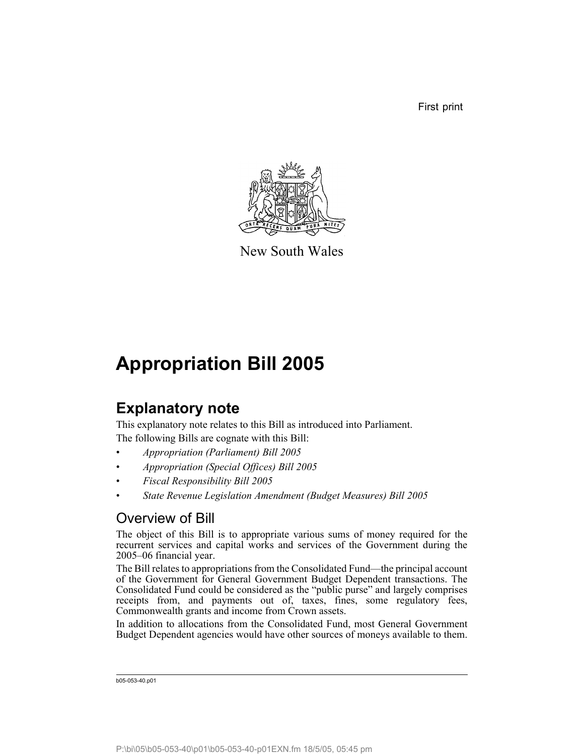First print



New South Wales

# **Appropriation Bill 2005**

## **Explanatory note**

This explanatory note relates to this Bill as introduced into Parliament. The following Bills are cognate with this Bill:

- *Appropriation (Parliament) Bill 2005*
- *Appropriation (Special Offices) Bill 2005*
- *Fiscal Responsibility Bill 2005*
- *State Revenue Legislation Amendment (Budget Measures) Bill 2005*

## Overview of Bill

The object of this Bill is to appropriate various sums of money required for the recurrent services and capital works and services of the Government during the 2005–06 financial year.

The Bill relates to appropriations from the Consolidated Fund—the principal account of the Government for General Government Budget Dependent transactions. The Consolidated Fund could be considered as the "public purse" and largely comprises receipts from, and payments out of, taxes, fines, some regulatory fees, Commonwealth grants and income from Crown assets.

In addition to allocations from the Consolidated Fund, most General Government Budget Dependent agencies would have other sources of moneys available to them.

b05-053-40.p01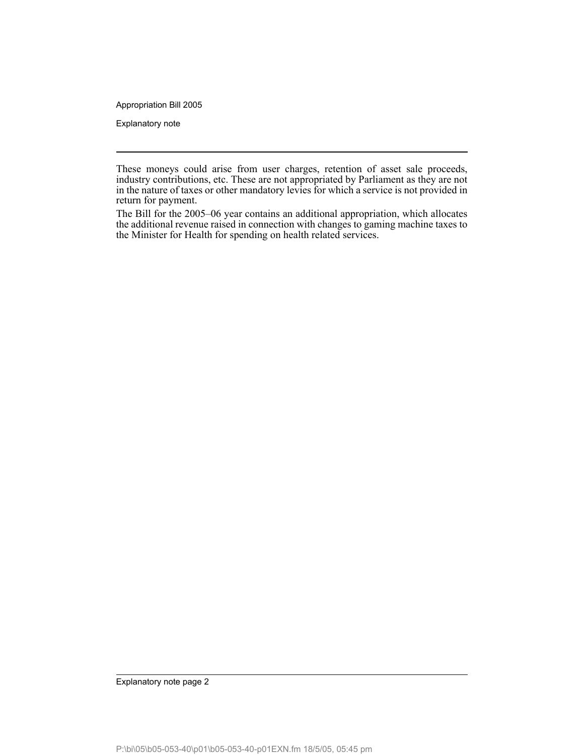Appropriation Bill 2005

Explanatory note

These moneys could arise from user charges, retention of asset sale proceeds, industry contributions, etc. These are not appropriated by Parliament as they are not in the nature of taxes or other mandatory levies for which a service is not provided in return for payment.

The Bill for the 2005–06 year contains an additional appropriation, which allocates the additional revenue raised in connection with changes to gaming machine taxes to the Minister for Health for spending on health related services.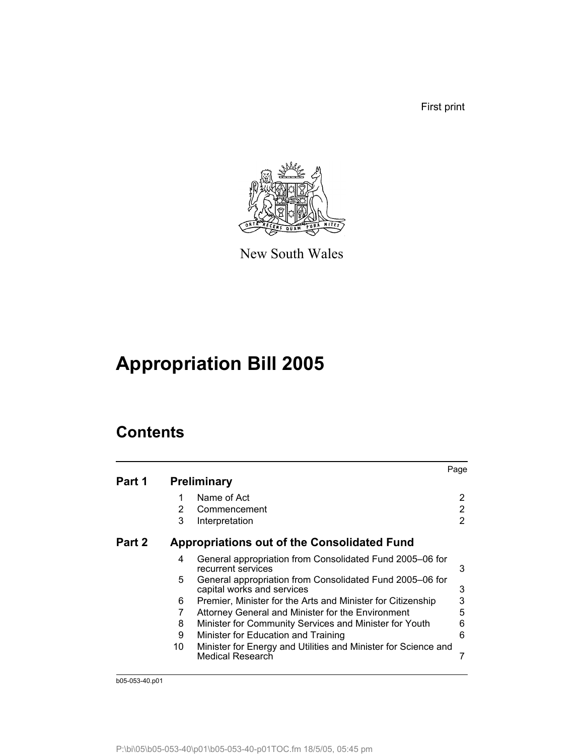First print



New South Wales

# **Appropriation Bill 2005**

## **Contents**

|        |    |                                                                                        | Page |
|--------|----|----------------------------------------------------------------------------------------|------|
| Part 1 |    | <b>Preliminary</b>                                                                     |      |
|        |    | Name of Act                                                                            | 2    |
|        | 2  | Commencement                                                                           | 2    |
|        | 3  | Interpretation                                                                         | 2    |
| Part 2 |    | Appropriations out of the Consolidated Fund                                            |      |
|        | 4  | General appropriation from Consolidated Fund 2005–06 for<br>recurrent services         | 3    |
|        | 5  | General appropriation from Consolidated Fund 2005–06 for<br>capital works and services | 3    |
|        | 6  | Premier, Minister for the Arts and Minister for Citizenship                            | 3    |
|        | 7  | Attorney General and Minister for the Environment                                      | 5    |
|        | 8  | Minister for Community Services and Minister for Youth                                 | 6    |
|        | 9  | Minister for Education and Training                                                    | 6    |
|        | 10 | Minister for Energy and Utilities and Minister for Science and<br>Medical Research     |      |

b05-053-40.p01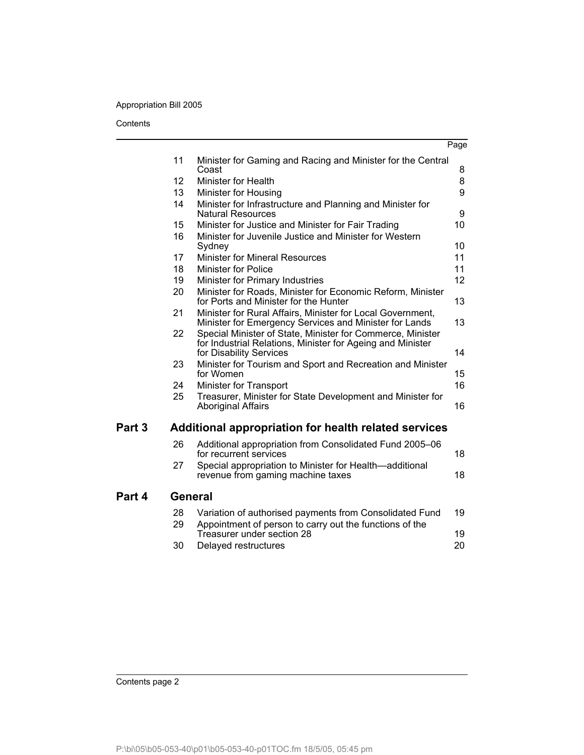#### Appropriation Bill 2005

**Contents** 

|                          |                                                                                                                                                     | Page     |
|--------------------------|-----------------------------------------------------------------------------------------------------------------------------------------------------|----------|
| 11                       | Minister for Gaming and Racing and Minister for the Central<br>Coast                                                                                | 8        |
| 12                       | <b>Minister for Health</b>                                                                                                                          | 8        |
| 13                       | Minister for Housing                                                                                                                                | 9        |
| 14                       | Minister for Infrastructure and Planning and Minister for<br><b>Natural Resources</b>                                                               | 9        |
| 15                       | Minister for Justice and Minister for Fair Trading                                                                                                  | 10       |
| 16                       | Minister for Juvenile Justice and Minister for Western<br>Sydney                                                                                    | 10       |
| 17                       | <b>Minister for Mineral Resources</b>                                                                                                               | 11       |
| 18                       | <b>Minister for Police</b>                                                                                                                          | 11       |
| 19                       | Minister for Primary Industries                                                                                                                     | 12       |
| 20                       | Minister for Roads, Minister for Economic Reform, Minister<br>for Ports and Minister for the Hunter                                                 | 13       |
| 21                       | Minister for Rural Affairs, Minister for Local Government,<br>Minister for Emergency Services and Minister for Lands                                | 13       |
| 22                       | Special Minister of State, Minister for Commerce, Minister<br>for Industrial Relations, Minister for Ageing and Minister<br>for Disability Services | 14       |
| 23                       | Minister for Tourism and Sport and Recreation and Minister<br>for Women                                                                             | 15       |
| 24                       | Minister for Transport                                                                                                                              | 16       |
| 25                       | Treasurer, Minister for State Development and Minister for<br><b>Aboriginal Affairs</b>                                                             | 16       |
| Part 3                   | Additional appropriation for health related services                                                                                                |          |
| 26                       | Additional appropriation from Consolidated Fund 2005-06<br>for recurrent services                                                                   | 18       |
| 27                       | Special appropriation to Minister for Health—additional<br>revenue from gaming machine taxes                                                        | 18       |
| Part 4<br><b>General</b> |                                                                                                                                                     |          |
| 28<br>29                 | Variation of authorised payments from Consolidated Fund<br>Appointment of person to carry out the functions of the                                  | 19       |
| 30                       | Treasurer under section 28<br>Delayed restructures                                                                                                  | 19<br>20 |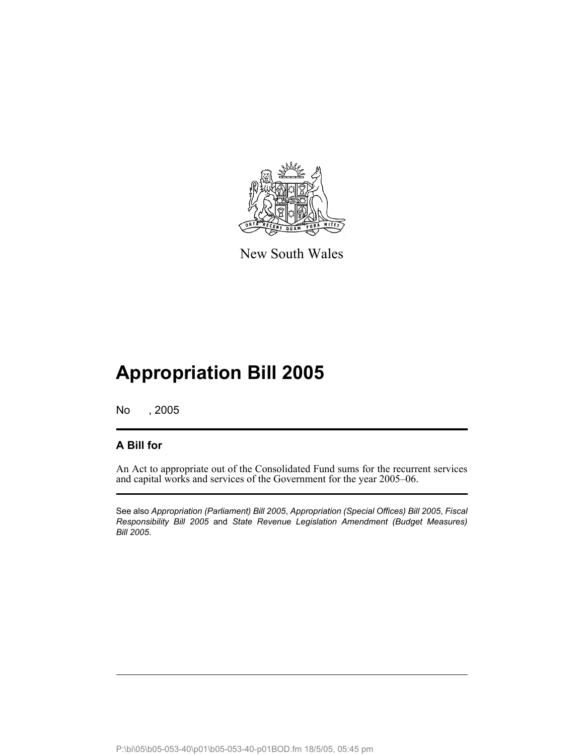

New South Wales

# **Appropriation Bill 2005**

No , 2005

### **A Bill for**

An Act to appropriate out of the Consolidated Fund sums for the recurrent services and capital works and services of the Government for the year 2005–06.

See also *Appropriation (Parliament) Bill 2005*, *Appropriation (Special Offices) Bill 2005*, *Fiscal Responsibility Bill 2005* and *State Revenue Legislation Amendment (Budget Measures) Bill 2005*.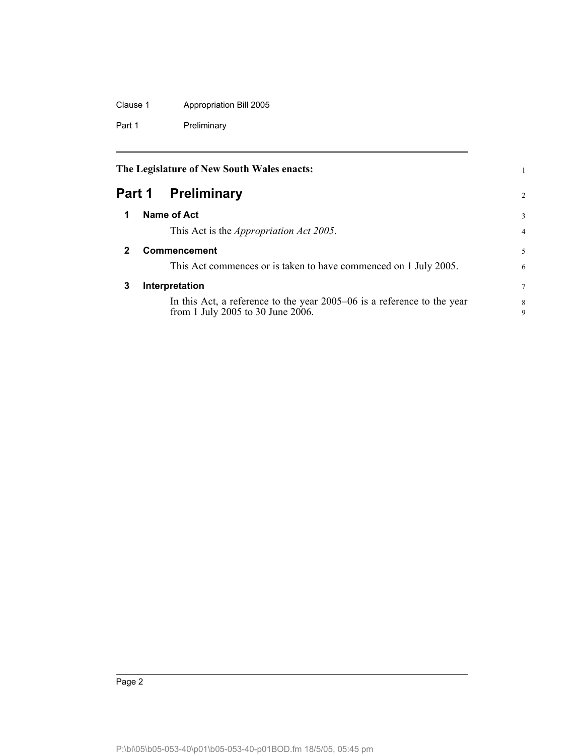Clause 1 Appropriation Bill 2005 Part 1 Preliminary

<span id="page-5-2"></span><span id="page-5-1"></span><span id="page-5-0"></span>

|        | The Legislature of New South Wales enacts:                                                                   |                |
|--------|--------------------------------------------------------------------------------------------------------------|----------------|
| Part 1 | <b>Preliminary</b>                                                                                           | $\overline{2}$ |
| 1      | Name of Act                                                                                                  | 3              |
|        | This Act is the <i>Appropriation Act 2005</i> .                                                              | $\overline{4}$ |
| 2      | Commencement                                                                                                 | 5              |
|        | This Act commences or is taken to have commenced on 1 July 2005.                                             | 6              |
| 3      | Interpretation                                                                                               | 7              |
|        | In this Act, a reference to the year 2005–06 is a reference to the year<br>from 1 July 2005 to 30 June 2006. | 8<br>9         |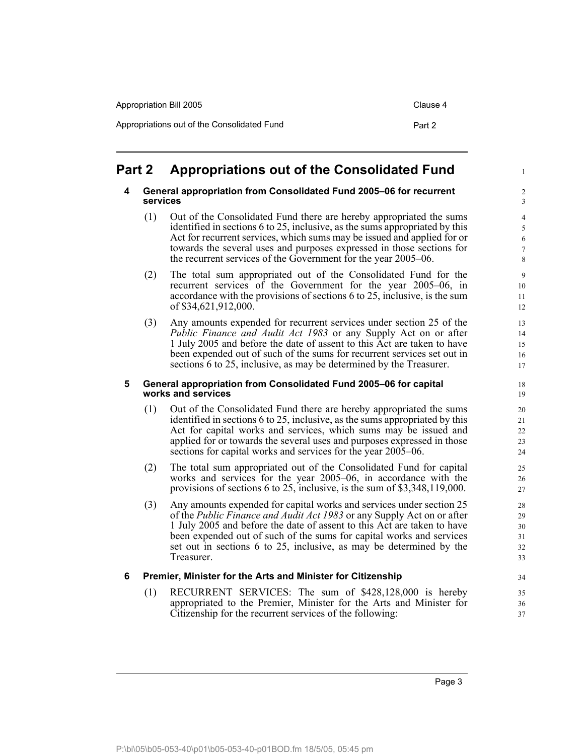| Appropriation Bill 2005                     | Clause 4 |
|---------------------------------------------|----------|
| Appropriations out of the Consolidated Fund | Part 2   |

## <span id="page-6-1"></span><span id="page-6-0"></span>**Part 2 Appropriations out of the Consolidated Fund**

#### **4 General appropriation from Consolidated Fund 2005–06 for recurrent services**

- (1) Out of the Consolidated Fund there are hereby appropriated the sums identified in sections 6 to 25, inclusive, as the sums appropriated by this Act for recurrent services, which sums may be issued and applied for or towards the several uses and purposes expressed in those sections for the recurrent services of the Government for the year 2005–06.
- (2) The total sum appropriated out of the Consolidated Fund for the recurrent services of the Government for the year 2005–06, in accordance with the provisions of sections 6 to 25, inclusive, is the sum of \$34,621,912,000.
- (3) Any amounts expended for recurrent services under section 25 of the *Public Finance and Audit Act 1983* or any Supply Act on or after 1 July 2005 and before the date of assent to this Act are taken to have been expended out of such of the sums for recurrent services set out in sections 6 to 25, inclusive, as may be determined by the Treasurer.

#### <span id="page-6-2"></span>**5 General appropriation from Consolidated Fund 2005–06 for capital works and services**

- (1) Out of the Consolidated Fund there are hereby appropriated the sums identified in sections 6 to 25, inclusive, as the sums appropriated by this Act for capital works and services, which sums may be issued and applied for or towards the several uses and purposes expressed in those sections for capital works and services for the year 2005–06.
- (2) The total sum appropriated out of the Consolidated Fund for capital works and services for the year 2005–06, in accordance with the provisions of sections 6 to 25, inclusive, is the sum of \$3,348,119,000.
- (3) Any amounts expended for capital works and services under section 25 of the *Public Finance and Audit Act 1983* or any Supply Act on or after 1 July 2005 and before the date of assent to this Act are taken to have been expended out of such of the sums for capital works and services set out in sections 6 to 25, inclusive, as may be determined by the Treasurer.

#### <span id="page-6-3"></span>**6 Premier, Minister for the Arts and Minister for Citizenship**

(1) RECURRENT SERVICES: The sum of \$428,128,000 is hereby appropriated to the Premier, Minister for the Arts and Minister for Citizenship for the recurrent services of the following:

1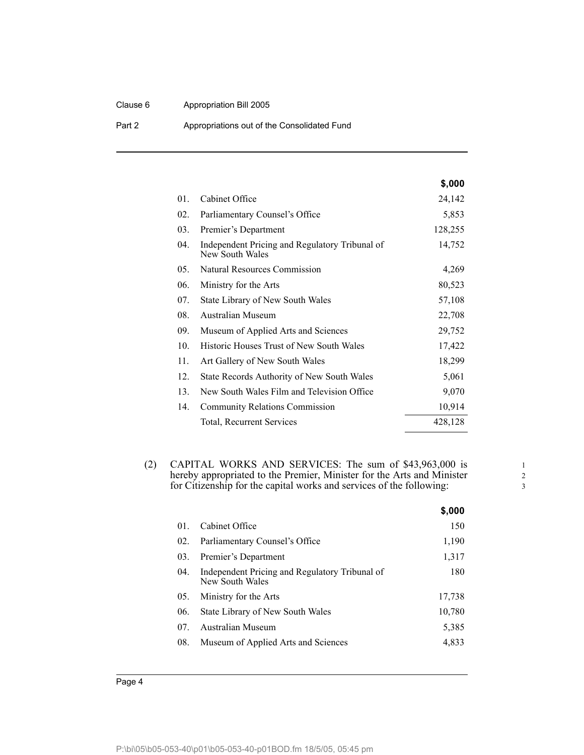#### Clause 6 Appropriation Bill 2005

Part 2 **Appropriations out of the Consolidated Fund** 

|     |                                                                   | \$,000  |
|-----|-------------------------------------------------------------------|---------|
| 01. | Cabinet Office                                                    | 24,142  |
| 02. | Parliamentary Counsel's Office                                    | 5,853   |
| 03. | Premier's Department                                              | 128,255 |
| 04. | Independent Pricing and Regulatory Tribunal of<br>New South Wales | 14,752  |
| 05. | Natural Resources Commission                                      | 4,269   |
| 06. | Ministry for the Arts                                             | 80,523  |
| 07. | State Library of New South Wales                                  | 57,108  |
| 08. | Australian Museum                                                 | 22,708  |
| 09. | Museum of Applied Arts and Sciences                               | 29,752  |
| 10. | <b>Historic Houses Trust of New South Wales</b>                   | 17,422  |
| 11. | Art Gallery of New South Wales                                    | 18,299  |
| 12. | State Records Authority of New South Wales                        | 5,061   |
| 13. | New South Wales Film and Television Office                        | 9,070   |
| 14. | <b>Community Relations Commission</b>                             | 10,914  |
|     | Total, Recurrent Services                                         | 428,128 |

(2) CAPITAL WORKS AND SERVICES: The sum of \$43,963,000 is hereby appropriated to the Premier, Minister for the Arts and Minister for Citizenship for the capital works and services of the following:

|     |                                                                   | \$,000 |
|-----|-------------------------------------------------------------------|--------|
| 01. | Cabinet Office                                                    | 150    |
| 02. | Parliamentary Counsel's Office                                    | 1,190  |
| 03. | Premier's Department                                              | 1,317  |
| 04. | Independent Pricing and Regulatory Tribunal of<br>New South Wales | 180    |
| 05. | Ministry for the Arts                                             | 17.738 |
| 06. | State Library of New South Wales                                  | 10,780 |
| 07. | Australian Museum                                                 | 5,385  |
| 08. | Museum of Applied Arts and Sciences                               | 4,833  |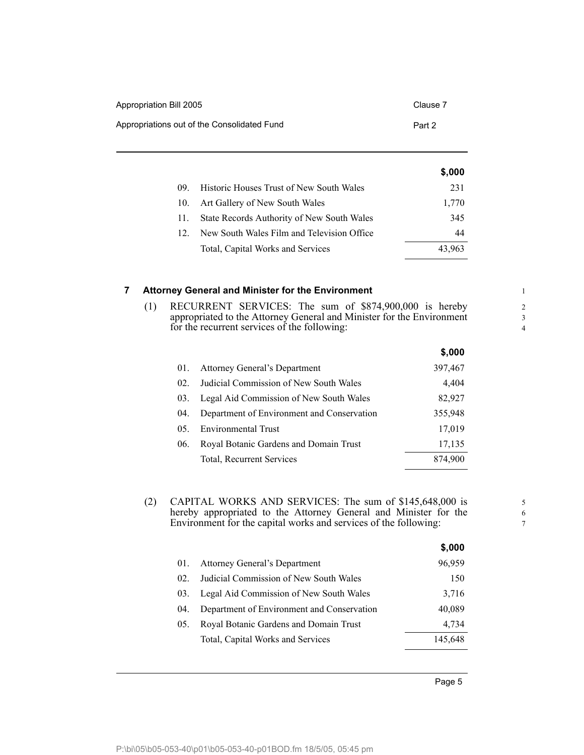| Appropriation Bill 2005                     | Clause 7 |
|---------------------------------------------|----------|
| Appropriations out of the Consolidated Fund | Part 2   |

|     |                                            | \$,000 |
|-----|--------------------------------------------|--------|
| (9) | Historic Houses Trust of New South Wales   | 231    |
| 10. | Art Gallery of New South Wales             | 1,770  |
| 11. | State Records Authority of New South Wales | 345    |
| 12  | New South Wales Film and Television Office | 44     |
|     | Total, Capital Works and Services          | 43.963 |

#### <span id="page-8-0"></span>**7 Attorney General and Minister for the Environment**

(1) RECURRENT SERVICES: The sum of \$874,900,000 is hereby appropriated to the Attorney General and Minister for the Environment for the recurrent services of the following:

|                  |                                            | \$,000  |
|------------------|--------------------------------------------|---------|
| 01.              | Attorney General's Department              | 397,467 |
| 02.              | Judicial Commission of New South Wales     | 4,404   |
| 03.              | Legal Aid Commission of New South Wales    | 82,927  |
| 04.              | Department of Environment and Conservation | 355,948 |
| 0.5 <sub>1</sub> | <b>Environmental Trust</b>                 | 17,019  |
| 06.              | Royal Botanic Gardens and Domain Trust     | 17,135  |
|                  | Total, Recurrent Services                  | 874,900 |

(2) CAPITAL WORKS AND SERVICES: The sum of \$145,648,000 is hereby appropriated to the Attorney General and Minister for the Environment for the capital works and services of the following:

|      |                                            | \$.UUU  |
|------|--------------------------------------------|---------|
| 01.  | Attorney General's Department              | 96,959  |
| 02.  | Judicial Commission of New South Wales     | 150     |
| 03.  | Legal Aid Commission of New South Wales    | 3,716   |
| (04) | Department of Environment and Conservation | 40,089  |
| 05.  | Royal Botanic Gardens and Domain Trust     | 4.734   |
|      | Total, Capital Works and Services          | 145,648 |
|      |                                            |         |

 $\ddot{\bullet}$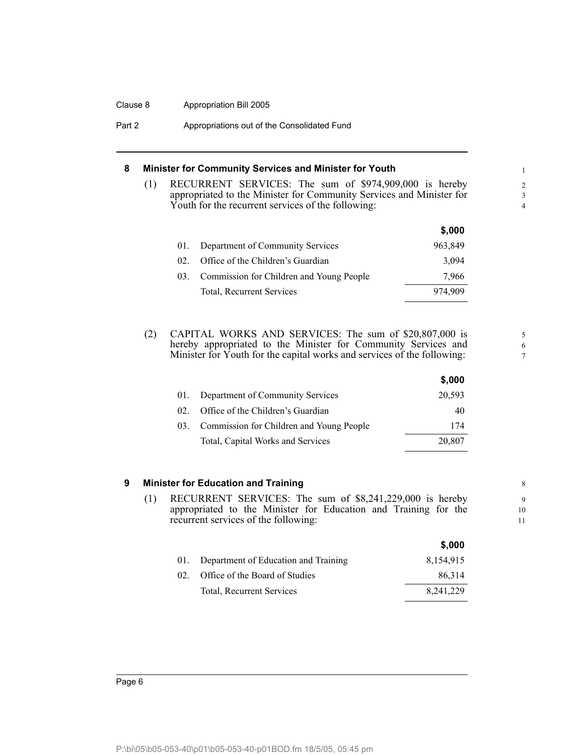#### Clause 8 Appropriation Bill 2005

Part 2 **Appropriations out of the Consolidated Fund** 

#### <span id="page-9-0"></span>**8 Minister for Community Services and Minister for Youth**

(1) RECURRENT SERVICES: The sum of \$974,909,000 is hereby appropriated to the Minister for Community Services and Minister for Youth for the recurrent services of the following:

5 6 7

|     |                                          | \$,000  |
|-----|------------------------------------------|---------|
| 01. | Department of Community Services         | 963,849 |
| 02  | Office of the Children's Guardian        | 3,094   |
| 03. | Commission for Children and Young People | 7.966   |
|     | Total, Recurrent Services                | 974.909 |

(2) CAPITAL WORKS AND SERVICES: The sum of \$20,807,000 is hereby appropriated to the Minister for Community Services and Minister for Youth for the capital works and services of the following:

|     |                                          | \$,000 |
|-----|------------------------------------------|--------|
| 01. | Department of Community Services         | 20,593 |
| 02. | Office of the Children's Guardian        | 40     |
| 03. | Commission for Children and Young People | 174    |
|     | Total, Capital Works and Services        | 20,807 |

#### <span id="page-9-1"></span>**9 Minister for Education and Training**

(1) RECURRENT SERVICES: The sum of \$8,241,229,000 is hereby appropriated to the Minister for Education and Training for the recurrent services of the following:

|          |                                      | \$,000      |
|----------|--------------------------------------|-------------|
| 01.      | Department of Education and Training | 8,154,915   |
| $02_{-}$ | Office of the Board of Studies       | 86,314      |
|          | Total, Recurrent Services            | 8, 241, 229 |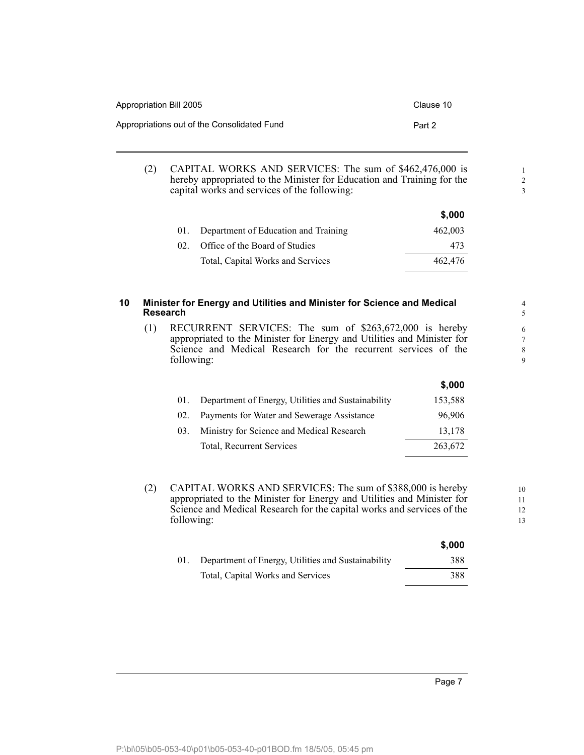| Appropriation Bill 2005                     | Clause 10 |
|---------------------------------------------|-----------|
| Appropriations out of the Consolidated Fund | Part 2    |

(2) CAPITAL WORKS AND SERVICES: The sum of \$462,476,000 is hereby appropriated to the Minister for Education and Training for the capital works and services of the following:

|          |                                          | \$.000  |
|----------|------------------------------------------|---------|
|          | 01. Department of Education and Training | 462,003 |
| $02_{-}$ | Office of the Board of Studies           | 473     |
|          | Total, Capital Works and Services        | 462,476 |

#### <span id="page-10-0"></span>**10 Minister for Energy and Utilities and Minister for Science and Medical Research**

(1) RECURRENT SERVICES: The sum of \$263,672,000 is hereby appropriated to the Minister for Energy and Utilities and Minister for Science and Medical Research for the recurrent services of the following:

|     |                                                    | \$,000  |
|-----|----------------------------------------------------|---------|
| 01. | Department of Energy, Utilities and Sustainability | 153,588 |
| 02. | Payments for Water and Sewerage Assistance         | 96,906  |
| 03. | Ministry for Science and Medical Research          | 13,178  |
|     | Total, Recurrent Services                          | 263,672 |
|     |                                                    |         |

(2) CAPITAL WORKS AND SERVICES: The sum of \$388,000 is hereby appropriated to the Minister for Energy and Utilities and Minister for Science and Medical Research for the capital works and services of the following:

|     |                                                    | \$,000 |
|-----|----------------------------------------------------|--------|
| 01. | Department of Energy, Utilities and Sustainability | 388    |
|     | Total, Capital Works and Services                  | 388    |

1 2 3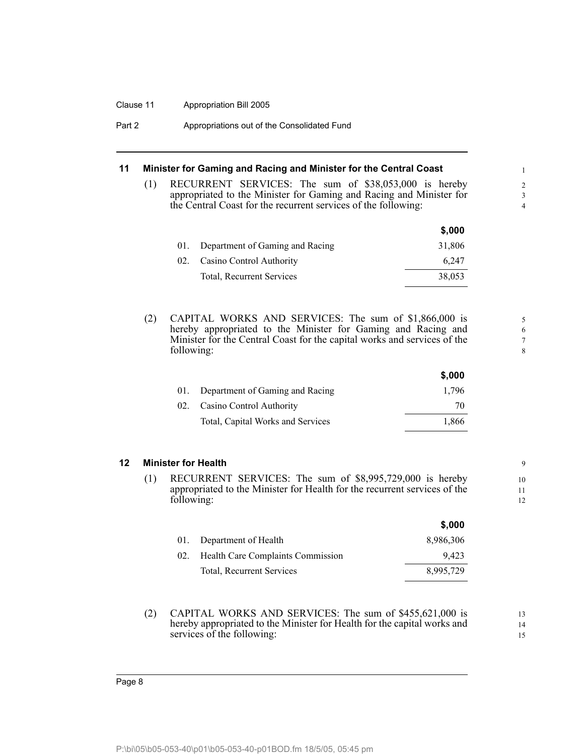#### Clause 11 Appropriation Bill 2005

| Part 2 | Appropriations out of the Consolidated Fund |  |
|--------|---------------------------------------------|--|
|--------|---------------------------------------------|--|

#### <span id="page-11-0"></span>**11 Minister for Gaming and Racing and Minister for the Central Coast**

(1) RECURRENT SERVICES: The sum of \$38,053,000 is hereby appropriated to the Minister for Gaming and Racing and Minister for the Central Coast for the recurrent services of the following:

|     |                                 | \$,000 |
|-----|---------------------------------|--------|
| 01. | Department of Gaming and Racing | 31,806 |
| 02. | Casino Control Authority        | 6.247  |
|     | Total, Recurrent Services       | 38,053 |

(2) CAPITAL WORKS AND SERVICES: The sum of \$1,866,000 is hereby appropriated to the Minister for Gaming and Racing and Minister for the Central Coast for the capital works and services of the following:

| 01. Department of Gaming and Racing | 1.796 |
|-------------------------------------|-------|
| 02. Casino Control Authority        | 70    |
| Total, Capital Works and Services   | 1,866 |
|                                     |       |

#### <span id="page-11-1"></span>**12 Minister for Health**

(1) RECURRENT SERVICES: The sum of \$8,995,729,000 is hereby appropriated to the Minister for Health for the recurrent services of the following:

|     |                                   | \$,000    |
|-----|-----------------------------------|-----------|
|     | 01. Department of Health          | 8,986,306 |
| 02. | Health Care Complaints Commission | 9.423     |
|     | Total, Recurrent Services         | 8,995,729 |

(2) CAPITAL WORKS AND SERVICES: The sum of \$455,621,000 is hereby appropriated to the Minister for Health for the capital works and services of the following:

13 14 15

**\$,000**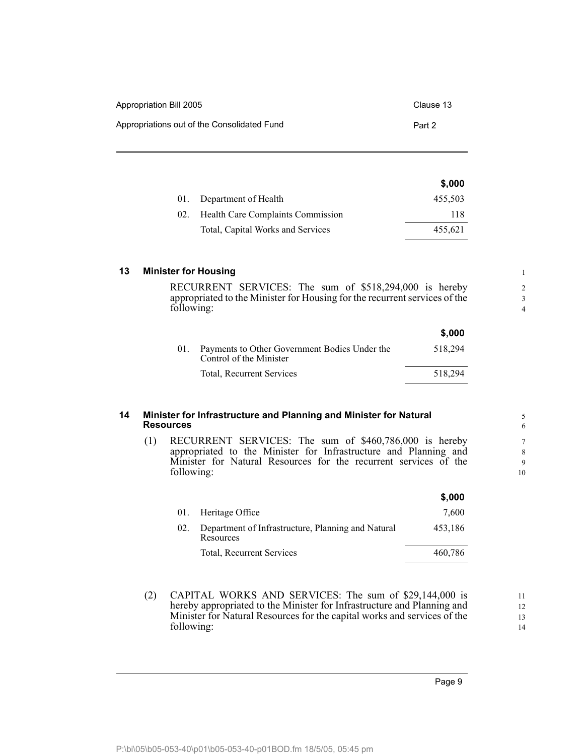| Appropriation Bill 2005                     | Clause 13 |
|---------------------------------------------|-----------|
| Appropriations out of the Consolidated Fund | Part 2    |

|          |                                   | \$,000  |
|----------|-----------------------------------|---------|
|          | 01. Department of Health          | 455,503 |
| $02_{-}$ | Health Care Complaints Commission | 118     |
|          | Total, Capital Works and Services | 455,621 |

### <span id="page-12-0"></span>**13 Minister for Housing**

RECURRENT SERVICES: The sum of \$518,294,000 is hereby appropriated to the Minister for Housing for the recurrent services of the following:

|                                                                          | \$,000  |
|--------------------------------------------------------------------------|---------|
| Payments to Other Government Bodies Under the<br>Control of the Minister | 518.294 |
| Total, Recurrent Services                                                | 518.294 |
|                                                                          |         |

#### <span id="page-12-1"></span>**14 Minister for Infrastructure and Planning and Minister for Natural Resources**

(1) RECURRENT SERVICES: The sum of \$460,786,000 is hereby appropriated to the Minister for Infrastructure and Planning and Minister for Natural Resources for the recurrent services of the following:

|     |                                                                 | \$,000  |
|-----|-----------------------------------------------------------------|---------|
|     | 01. Heritage Office                                             | 7,600   |
| 02. | Department of Infrastructure, Planning and Natural<br>Resources | 453,186 |
|     | Total, Recurrent Services                                       | 460,786 |

(2) CAPITAL WORKS AND SERVICES: The sum of \$29,144,000 is hereby appropriated to the Minister for Infrastructure and Planning and Minister for Natural Resources for the capital works and services of the following:

11 12 13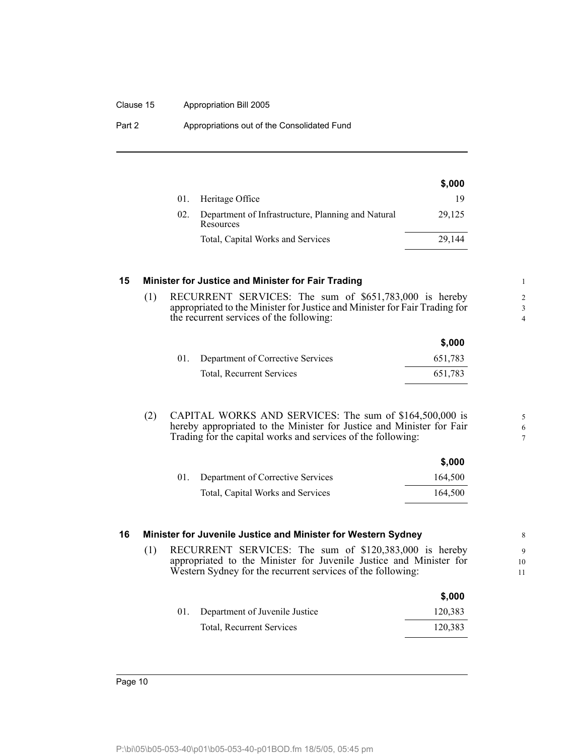#### Clause 15 Appropriation Bill 2005

| Part 2 | Appropriations out of the Consolidated Fund |  |
|--------|---------------------------------------------|--|
|--------|---------------------------------------------|--|

|     |                                                                 | \$,000 |
|-----|-----------------------------------------------------------------|--------|
|     | 01. Heritage Office                                             | 19     |
| 02. | Department of Infrastructure, Planning and Natural<br>Resources | 29.125 |
|     | Total, Capital Works and Services                               | 29.144 |

#### <span id="page-13-0"></span>**15 Minister for Justice and Minister for Fair Trading**

(1) RECURRENT SERVICES: The sum of \$651,783,000 is hereby appropriated to the Minister for Justice and Minister for Fair Trading for the recurrent services of the following:

|     |                                   | \$.000  |
|-----|-----------------------------------|---------|
| 01. | Department of Corrective Services | 651,783 |
|     | <b>Total, Recurrent Services</b>  | 651.783 |

(2) CAPITAL WORKS AND SERVICES: The sum of \$164,500,000 is hereby appropriated to the Minister for Justice and Minister for Fair Trading for the capital works and services of the following:

|     |                                   | \$,000  |
|-----|-----------------------------------|---------|
| 01. | Department of Corrective Services | 164,500 |
|     | Total, Capital Works and Services | 164,500 |

#### <span id="page-13-1"></span>**16 Minister for Juvenile Justice and Minister for Western Sydney**

(1) RECURRENT SERVICES: The sum of \$120,383,000 is hereby appropriated to the Minister for Juvenile Justice and Minister for Western Sydney for the recurrent services of the following:

|                                    | \$.000  |
|------------------------------------|---------|
| 01. Department of Juvenile Justice | 120,383 |
| <b>Total, Recurrent Services</b>   | 120,383 |

**\$,000**

5 6 7

Page 10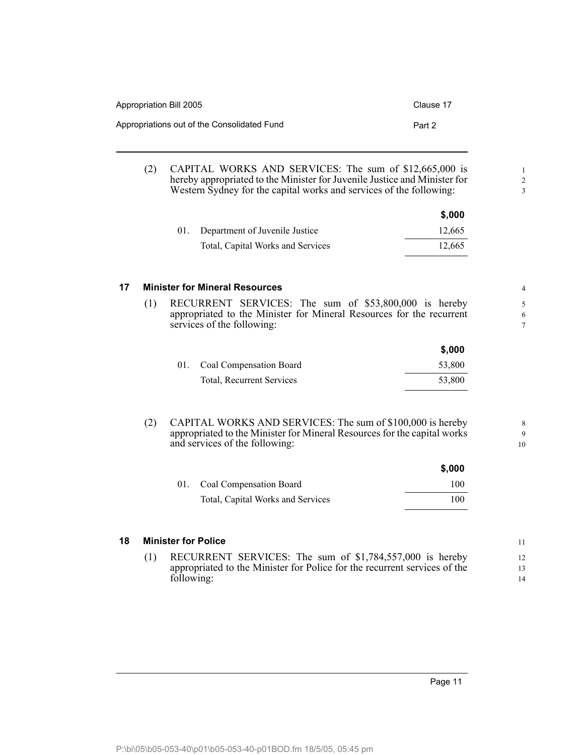| Appropriation Bill 2005 |                                                                                                                                                                                                            | Clause 17 |
|-------------------------|------------------------------------------------------------------------------------------------------------------------------------------------------------------------------------------------------------|-----------|
|                         | Appropriations out of the Consolidated Fund                                                                                                                                                                | Part 2    |
| (2)                     | CAPITAL WORKS AND SERVICES: The sum of \$12,665,000 is<br>hereby appropriated to the Minister for Juvenile Justice and Minister for<br>Western Sydney for the capital works and services of the following: |           |
|                         |                                                                                                                                                                                                            | \$,000    |
|                         | Department of Juvenile Justice<br>01.                                                                                                                                                                      | 12,665    |
|                         | Total, Capital Works and Services                                                                                                                                                                          | 12,665    |

#### <span id="page-14-0"></span>**17 Minister for Mineral Resources**

(1) RECURRENT SERVICES: The sum of \$53,800,000 is hereby appropriated to the Minister for Mineral Resources for the recurrent services of the following:

|                             | \$,000 |
|-----------------------------|--------|
| 01. Coal Compensation Board | 53,800 |
| Total, Recurrent Services   | 53.800 |

(2) CAPITAL WORKS AND SERVICES: The sum of \$100,000 is hereby appropriated to the Minister for Mineral Resources for the capital works and services of the following:

|                                   | \$,000 |
|-----------------------------------|--------|
| 01. Coal Compensation Board       | 100.   |
| Total, Capital Works and Services | 100    |

#### <span id="page-14-1"></span>**18 Minister for Police**

(1) RECURRENT SERVICES: The sum of \$1,784,557,000 is hereby appropriated to the Minister for Police for the recurrent services of the following:

1 2 3

8 9 10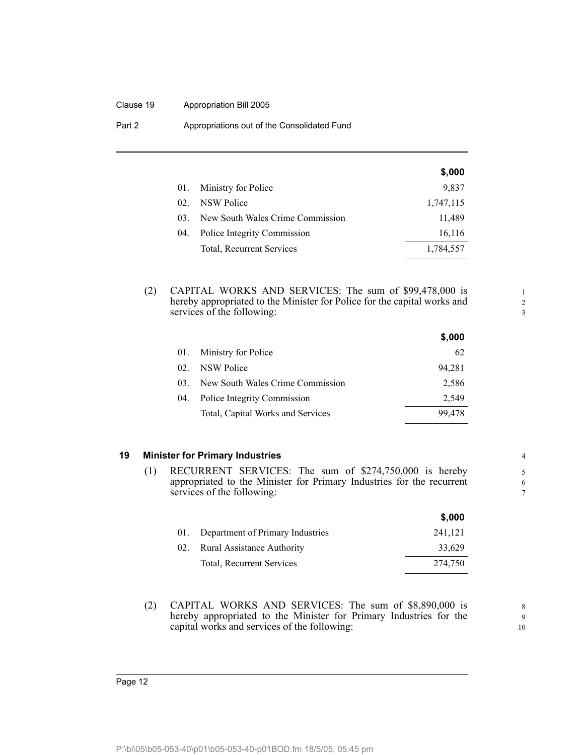#### Clause 19 Appropriation Bill 2005

| Part 2 | Appropriations out of the Consolidated Fund |
|--------|---------------------------------------------|
|--------|---------------------------------------------|

|                 |                                  | \$,000    |
|-----------------|----------------------------------|-----------|
| 01.             | Ministry for Police              | 9,837     |
| 02.             | NSW Police                       | 1,747,115 |
| 03 <sup>2</sup> | New South Wales Crime Commission | 11,489    |
| 04.             | Police Integrity Commission      | 16,116    |
|                 | <b>Total, Recurrent Services</b> | 1,784,557 |

(2) CAPITAL WORKS AND SERVICES: The sum of \$99,478,000 is hereby appropriated to the Minister for Police for the capital works and services of the following:

|                 |                                   | \$,000 |
|-----------------|-----------------------------------|--------|
| 01.             | Ministry for Police               | 62     |
| 02 <sub>z</sub> | NSW Police                        | 94.281 |
| 03.             | New South Wales Crime Commission  | 2,586  |
| 04.             | Police Integrity Commission       | 2.549  |
|                 | Total, Capital Works and Services | 99.478 |

#### <span id="page-15-0"></span>**19 Minister for Primary Industries**

(1) RECURRENT SERVICES: The sum of \$274,750,000 is hereby appropriated to the Minister for Primary Industries for the recurrent services of the following:

|     |                                   | \$,000  |
|-----|-----------------------------------|---------|
| 01. | Department of Primary Industries  | 241,121 |
| 02. | <b>Rural Assistance Authority</b> | 33,629  |
|     | Total, Recurrent Services         | 274.750 |

(2) CAPITAL WORKS AND SERVICES: The sum of \$8,890,000 is hereby appropriated to the Minister for Primary Industries for the capital works and services of the following:

8 9 10

1 2 3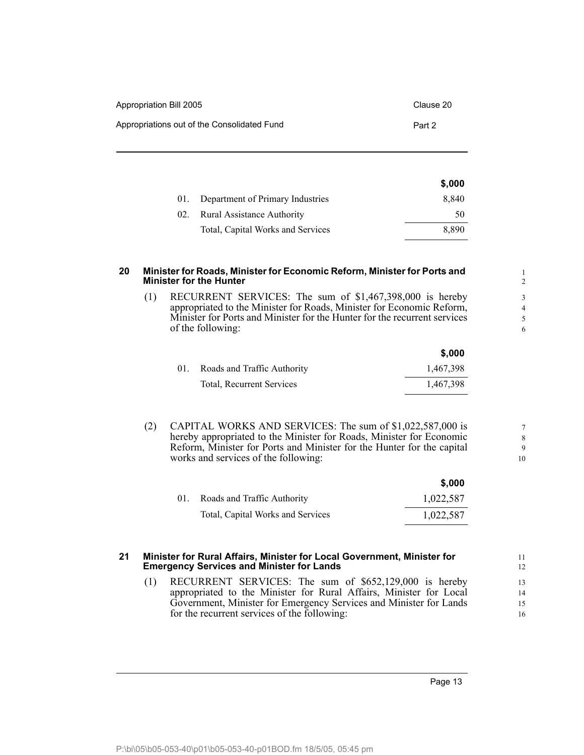| Appropriation Bill 2005                     | Clause 20 |
|---------------------------------------------|-----------|
| Appropriations out of the Consolidated Fund | Part 2    |

| 8.840 |
|-------|
| 50.   |
| 8.890 |
|       |

#### <span id="page-16-0"></span>**20 Minister for Roads, Minister for Economic Reform, Minister for Ports and Minister for the Hunter**

(1) RECURRENT SERVICES: The sum of \$1,467,398,000 is hereby appropriated to the Minister for Roads, Minister for Economic Reform, Minister for Ports and Minister for the Hunter for the recurrent services of the following:

|     |                             | \$,000    |
|-----|-----------------------------|-----------|
| 01. | Roads and Traffic Authority | 1,467,398 |
|     | Total, Recurrent Services   | 1,467,398 |

(2) CAPITAL WORKS AND SERVICES: The sum of \$1,022,587,000 is hereby appropriated to the Minister for Roads, Minister for Economic Reform, Minister for Ports and Minister for the Hunter for the capital works and services of the following:

|     |                                   | \$,000    |
|-----|-----------------------------------|-----------|
| 01. | Roads and Traffic Authority       | 1,022,587 |
|     | Total, Capital Works and Services | 1,022,587 |

#### <span id="page-16-1"></span>**21 Minister for Rural Affairs, Minister for Local Government, Minister for Emergency Services and Minister for Lands**

(1) RECURRENT SERVICES: The sum of \$652,129,000 is hereby appropriated to the Minister for Rural Affairs, Minister for Local Government, Minister for Emergency Services and Minister for Lands for the recurrent services of the following:

Page 13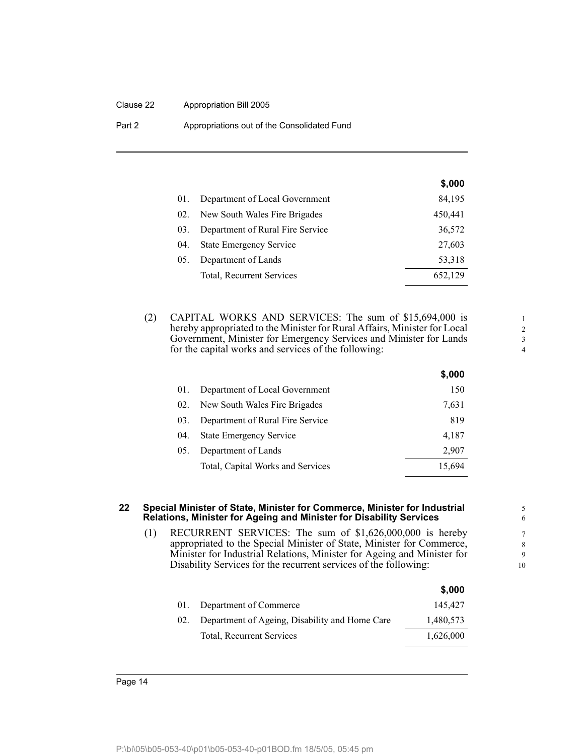#### Clause 22 Appropriation Bill 2005

Part 2 **Appropriations out of the Consolidated Fund** 

|     |                                  | \$,000  |
|-----|----------------------------------|---------|
| 01. | Department of Local Government   | 84,195  |
| 02. | New South Wales Fire Brigades    | 450,441 |
| 03. | Department of Rural Fire Service | 36,572  |
| 04. | <b>State Emergency Service</b>   | 27,603  |
| 05. | Department of Lands              | 53,318  |
|     | Total, Recurrent Services        | 652,129 |

(2) CAPITAL WORKS AND SERVICES: The sum of \$15,694,000 is hereby appropriated to the Minister for Rural Affairs, Minister for Local Government, Minister for Emergency Services and Minister for Lands for the capital works and services of the following:

|     |                                   | \$,000 |
|-----|-----------------------------------|--------|
| 01. | Department of Local Government    | 150    |
| 02. | New South Wales Fire Brigades     | 7,631  |
| 03. | Department of Rural Fire Service  | 819    |
| 04. | <b>State Emergency Service</b>    | 4.187  |
| 05. | Department of Lands               | 2,907  |
|     | Total, Capital Works and Services | 15,694 |

#### <span id="page-17-0"></span>**22 Special Minister of State, Minister for Commerce, Minister for Industrial Relations, Minister for Ageing and Minister for Disability Services**

(1) RECURRENT SERVICES: The sum of \$1,626,000,000 is hereby appropriated to the Special Minister of State, Minister for Commerce, Minister for Industrial Relations, Minister for Ageing and Minister for Disability Services for the recurrent services of the following:

|     |                                                | \$,000    |
|-----|------------------------------------------------|-----------|
| 01. | Department of Commerce                         | 145.427   |
| 02. | Department of Ageing, Disability and Home Care | 1,480,573 |
|     | Total, Recurrent Services                      | 1,626,000 |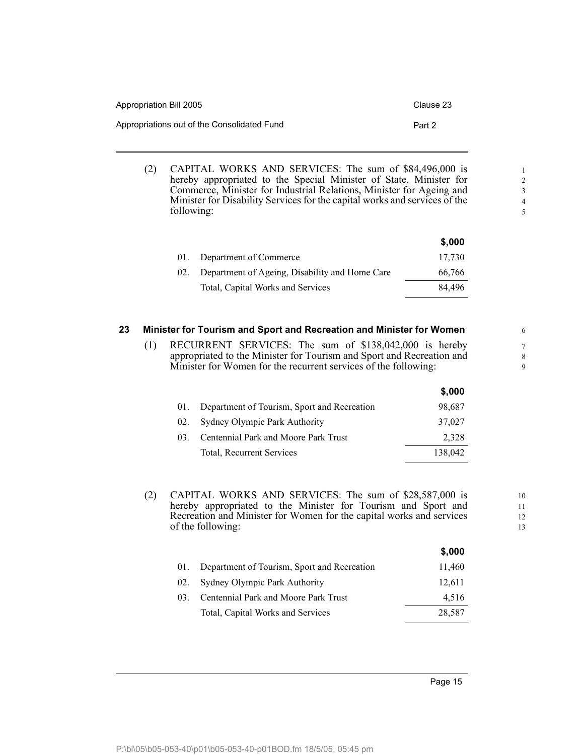| Appropriation Bill 2005                     | Clause 23 |
|---------------------------------------------|-----------|
| Appropriations out of the Consolidated Fund | Part 2    |

(2) CAPITAL WORKS AND SERVICES: The sum of \$84,496,000 is hereby appropriated to the Special Minister of State, Minister for Commerce, Minister for Industrial Relations, Minister for Ageing and Minister for Disability Services for the capital works and services of the following:

|     |                                                | \$,000 |
|-----|------------------------------------------------|--------|
| 01. | Department of Commerce                         | 17.730 |
| 02. | Department of Ageing, Disability and Home Care | 66,766 |
|     | Total, Capital Works and Services              | 84.496 |

#### <span id="page-18-0"></span>**23 Minister for Tourism and Sport and Recreation and Minister for Women**

(1) RECURRENT SERVICES: The sum of \$138,042,000 is hereby appropriated to the Minister for Tourism and Sport and Recreation and Minister for Women for the recurrent services of the following:

|     |                                             | \$,000  |
|-----|---------------------------------------------|---------|
|     | Department of Tourism, Sport and Recreation | 98,687  |
| 02. | Sydney Olympic Park Authority               | 37,027  |
| 03  | Centennial Park and Moore Park Trust        | 2,328   |
|     | Total, Recurrent Services                   | 138,042 |
|     |                                             |         |

(2) CAPITAL WORKS AND SERVICES: The sum of \$28,587,000 is hereby appropriated to the Minister for Tourism and Sport and Recreation and Minister for Women for the capital works and services of the following:

|     |                                             | \$,000 |
|-----|---------------------------------------------|--------|
| 01. | Department of Tourism, Sport and Recreation | 11,460 |
| 02. | Sydney Olympic Park Authority               | 12,611 |
| 03  | Centennial Park and Moore Park Trust        | 4,516  |
|     | Total, Capital Works and Services           | 28,587 |
|     |                                             |        |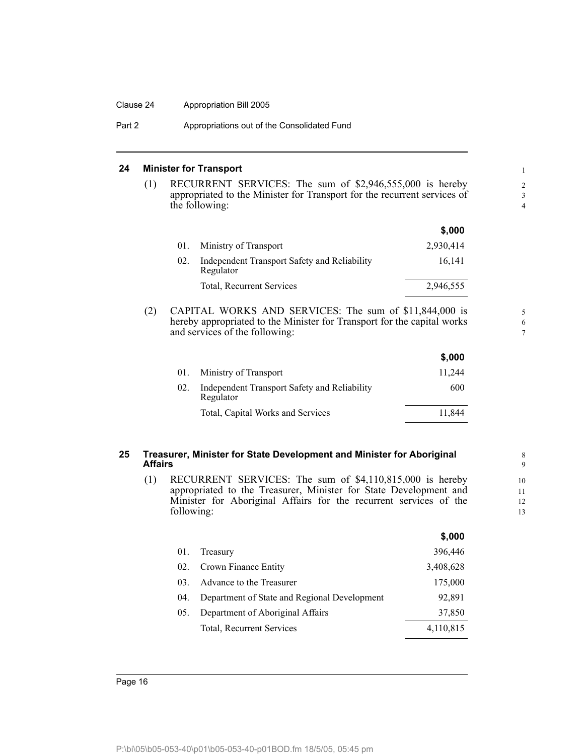#### Clause 24 Appropriation Bill 2005

Part 2 **Appropriations out of the Consolidated Fund** 

#### <span id="page-19-0"></span>**24 Minister for Transport**

(1) RECURRENT SERVICES: The sum of \$2,946,555,000 is hereby appropriated to the Minister for Transport for the recurrent services of the following:

5 6 7

|     |                                                           | \$,000    |
|-----|-----------------------------------------------------------|-----------|
| 01. | Ministry of Transport                                     | 2,930,414 |
| 02. | Independent Transport Safety and Reliability<br>Regulator | 16.141    |
|     | Total, Recurrent Services                                 | 2,946,555 |

(2) CAPITAL WORKS AND SERVICES: The sum of \$11,844,000 is hereby appropriated to the Minister for Transport for the capital works and services of the following:

|     |                                                           | \$,000 |
|-----|-----------------------------------------------------------|--------|
| 01. | Ministry of Transport                                     | 11.244 |
| 02. | Independent Transport Safety and Reliability<br>Regulator | 600    |
|     | Total, Capital Works and Services                         | 11.844 |

#### <span id="page-19-1"></span>**25 Treasurer, Minister for State Development and Minister for Aboriginal Affairs**

(1) RECURRENT SERVICES: The sum of \$4,110,815,000 is hereby appropriated to the Treasurer, Minister for State Development and Minister for Aboriginal Affairs for the recurrent services of the following:

|     |                                              | \$,000    |
|-----|----------------------------------------------|-----------|
| 01. | Treasury                                     | 396,446   |
| 02. | Crown Finance Entity                         | 3,408,628 |
| 03. | Advance to the Treasurer                     | 175,000   |
| 04. | Department of State and Regional Development | 92,891    |
| 05. | Department of Aboriginal Affairs             | 37,850    |
|     | Total, Recurrent Services                    | 4,110,815 |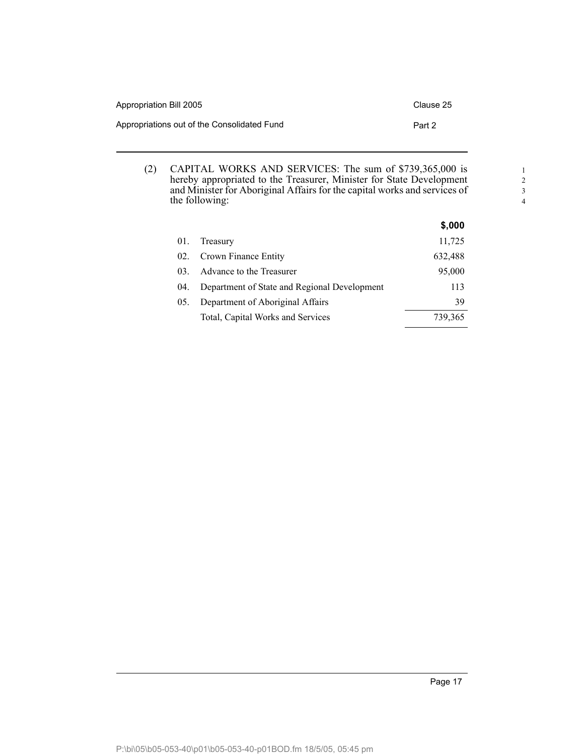| Appropriation Bill 2005                     | Clause 25 |
|---------------------------------------------|-----------|
| Appropriations out of the Consolidated Fund | Part 2    |

(2) CAPITAL WORKS AND SERVICES: The sum of \$739,365,000 is hereby appropriated to the Treasurer, Minister for State Development and Minister for Aboriginal Affairs for the capital works and services of the following:

|        |                                              | \$,000  |
|--------|----------------------------------------------|---------|
| 01.    | Treasury                                     | 11,725  |
| 02.    | Crown Finance Entity                         | 632,488 |
| $03 -$ | Advance to the Treasurer                     | 95,000  |
| 04.    | Department of State and Regional Development | 113     |
| 05.    | Department of Aboriginal Affairs             | 39      |
|        | Total, Capital Works and Services            | 739,365 |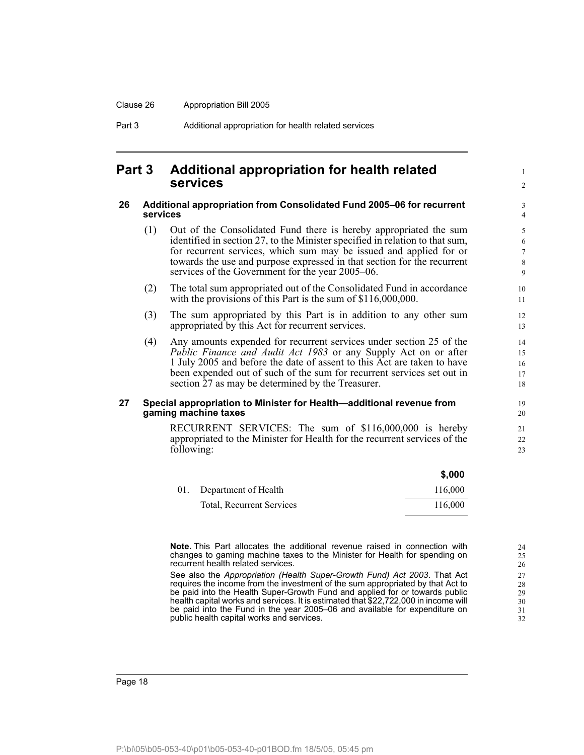#### <span id="page-21-0"></span>**Part 3 Additional appropriation for health related services**

#### <span id="page-21-1"></span>**26 Additional appropriation from Consolidated Fund 2005–06 for recurrent services**

- (1) Out of the Consolidated Fund there is hereby appropriated the sum identified in section 27, to the Minister specified in relation to that sum, for recurrent services, which sum may be issued and applied for or towards the use and purpose expressed in that section for the recurrent services of the Government for the year 2005–06.
- (2) The total sum appropriated out of the Consolidated Fund in accordance with the provisions of this Part is the sum of \$116,000,000.
- (3) The sum appropriated by this Part is in addition to any other sum appropriated by this Act for recurrent services.
- (4) Any amounts expended for recurrent services under section 25 of the *Public Finance and Audit Act 1983* or any Supply Act on or after 1 July 2005 and before the date of assent to this Act are taken to have been expended out of such of the sum for recurrent services set out in section 27 as may be determined by the Treasurer.

#### <span id="page-21-2"></span>**27 Special appropriation to Minister for Health—additional revenue from gaming machine taxes**

RECURRENT SERVICES: The sum of \$116,000,000 is hereby appropriated to the Minister for Health for the recurrent services of the following:

|                                  | ა.uuu   |
|----------------------------------|---------|
| 01. Department of Health         | 116,000 |
| <b>Total, Recurrent Services</b> | 116,000 |

**Note.** This Part allocates the additional revenue raised in connection with changes to gaming machine taxes to the Minister for Health for spending on recurrent health related services.

See also the *Appropriation (Health Super-Growth Fund) Act 2003*. That Act requires the income from the investment of the sum appropriated by that Act to be paid into the Health Super-Growth Fund and applied for or towards public health capital works and services. It is estimated that \$22,722,000 in income will be paid into the Fund in the year 2005–06 and available for expenditure on public health capital works and services.

1  $\mathfrak{D}$ 

**\$,000**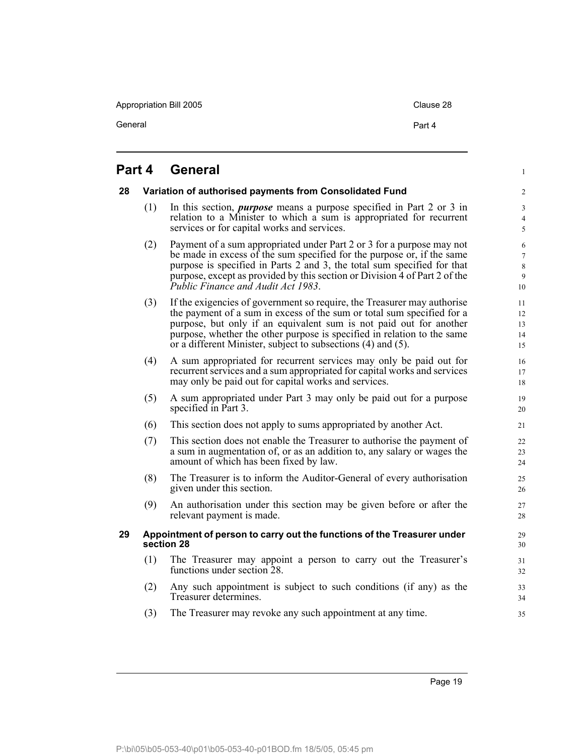Appropriation Bill 2005 Clause 28

General **Part 4** 

<span id="page-22-2"></span><span id="page-22-1"></span><span id="page-22-0"></span>

|    | <b>Part 4</b> | <b>General</b>                                                                                                                                                                                                                                                                                                                                                     | $\mathbf{1}$                                            |
|----|---------------|--------------------------------------------------------------------------------------------------------------------------------------------------------------------------------------------------------------------------------------------------------------------------------------------------------------------------------------------------------------------|---------------------------------------------------------|
| 28 |               | Variation of authorised payments from Consolidated Fund                                                                                                                                                                                                                                                                                                            | $\overline{c}$                                          |
|    | (1)           | In this section, <i>purpose</i> means a purpose specified in Part 2 or 3 in<br>relation to a Minister to which a sum is appropriated for recurrent<br>services or for capital works and services.                                                                                                                                                                  | $\mathfrak{Z}$<br>$\overline{4}$<br>5                   |
|    | (2)           | Payment of a sum appropriated under Part 2 or 3 for a purpose may not<br>be made in excess of the sum specified for the purpose or, if the same<br>purpose is specified in Parts 2 and 3, the total sum specified for that<br>purpose, except as provided by this section or Division 4 of Part 2 of the<br>Public Finance and Audit Act 1983.                     | $\sqrt{6}$<br>$\tau$<br>$\,8\,$<br>$\overline{9}$<br>10 |
|    | (3)           | If the exigencies of government so require, the Treasurer may authorise<br>the payment of a sum in excess of the sum or total sum specified for a<br>purpose, but only if an equivalent sum is not paid out for another<br>purpose, whether the other purpose is specified in relation to the same<br>or a different Minister, subject to subsections (4) and (5). | 11<br>12<br>13<br>14<br>15                              |
|    | (4)           | A sum appropriated for recurrent services may only be paid out for<br>recurrent services and a sum appropriated for capital works and services<br>may only be paid out for capital works and services.                                                                                                                                                             | 16<br>17<br>18                                          |
|    | (5)           | A sum appropriated under Part 3 may only be paid out for a purpose<br>specified in Part 3.                                                                                                                                                                                                                                                                         | 19<br>20                                                |
|    | (6)           | This section does not apply to sums appropriated by another Act.                                                                                                                                                                                                                                                                                                   | 21                                                      |
|    | (7)           | This section does not enable the Treasurer to authorise the payment of<br>a sum in augmentation of, or as an addition to, any salary or wages the<br>amount of which has been fixed by law.                                                                                                                                                                        | 22<br>23<br>24                                          |
|    | (8)           | The Treasurer is to inform the Auditor-General of every authorisation<br>given under this section.                                                                                                                                                                                                                                                                 | 25<br>26                                                |
|    | (9)           | An authorisation under this section may be given before or after the<br>relevant payment is made.                                                                                                                                                                                                                                                                  | 27<br>28                                                |
| 29 |               | Appointment of person to carry out the functions of the Treasurer under<br>section 28                                                                                                                                                                                                                                                                              | 29<br>30                                                |
|    | (1)           | The Treasurer may appoint a person to carry out the Treasurer's<br>functions under section 28.                                                                                                                                                                                                                                                                     | 31<br>32                                                |
|    | (2)           | Any such appointment is subject to such conditions (if any) as the<br>Treasurer determines.                                                                                                                                                                                                                                                                        | 33<br>34                                                |
|    | (3)           | The Treasurer may revoke any such appointment at any time.                                                                                                                                                                                                                                                                                                         | 35                                                      |